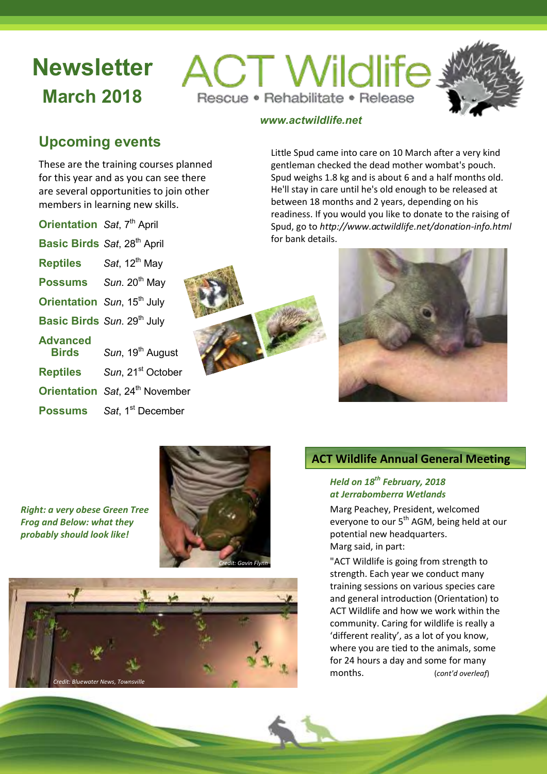# **Newsletter March 2018**

**ACT Wildlife** Rescue · Rehabilitate · Release



# *www.actwildlife.net*

# **Upcoming events**

These are the training courses planned for this year and as you can see there are several opportunities to join other members in learning new skills.

| <b>Orientation</b> Sat, 7 <sup>th</sup> April |                                              |
|-----------------------------------------------|----------------------------------------------|
| Basic Birds Sat, 28 <sup>th</sup> April       |                                              |
| <b>Reptiles</b> Sat, 12 <sup>th</sup> May     |                                              |
|                                               | Possums Sun. 20th May                        |
|                                               | Orientation Sun, 15 <sup>th</sup> July       |
|                                               | Basic Birds Sun. 29th July                   |
| <b>Advanced</b><br><b>Birds</b>               | Sun, 19 <sup>th</sup> August                 |
| <b>Reptiles</b>                               | Sun, 21 <sup>st</sup> October                |
|                                               | Orientation Sat, 24 <sup>th</sup> November   |
|                                               | <b>Possums</b> Sat, 1 <sup>st</sup> December |



Little Spud came into care on 10 March after a very kind gentleman checked the dead mother wombat's pouch. Spud weighs 1.8 kg and is about 6 and a half months old. He'll stay in care until he's old enough to be released at between 18 months and 2 years, depending on his readiness. If you would you like to donate to the raising of Spud, go to *<http://www.actwildlife.net/donation-info.html>* for bank details.



*Right: a very obese Green Tree Frog and Below: what they probably should look like!*





# **ACT Wildlife Annual General Meeting**

#### *Held on 18th February, 2018 at Jerrabomberra Wetlands*

Marg Peachey, President, welcomed everyone to our 5<sup>th</sup> AGM, being held at our potential new headquarters. Marg said, in part:

"ACT Wildlife is going from strength to strength. Each year we conduct many training sessions on various species care and general introduction (Orientation) to ACT Wildlife and how we work within the community. Caring for wildlife is really a 'different reality', as a lot of you know, where you are tied to the animals, some for 24 hours a day and some for many months. (*cont'd overleaf*)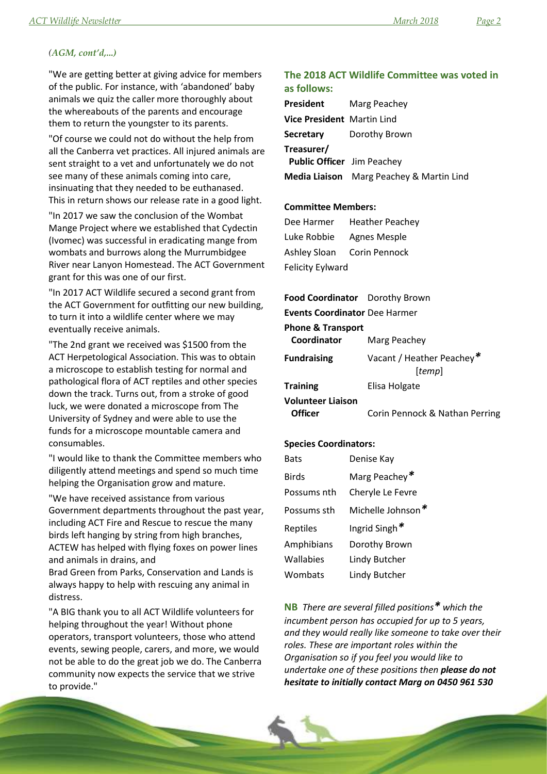#### *(AGM, cont'd,...)*

"We are getting better at giving advice for members of the public. For instance, with 'abandoned' baby animals we quiz the caller more thoroughly about the whereabouts of the parents and encourage them to return the youngster to its parents.

"Of course we could not do without the help from all the Canberra vet practices. All injured animals are sent straight to a vet and unfortunately we do not see many of these animals coming into care, insinuating that they needed to be euthanased. This in return shows our release rate in a good light.

"In 2017 we saw the conclusion of the Wombat Mange Project where we established that Cydectin (Ivomec) was successful in eradicating mange from wombats and burrows along the Murrumbidgee River near Lanyon Homestead. The ACT Government grant for this was one of our first.

"In 2017 ACT Wildlife secured a second grant from the ACT Government for outfitting our new building, to turn it into a wildlife center where we may eventually receive animals.

"The 2nd grant we received was \$1500 from the ACT Herpetological Association. This was to obtain a microscope to establish testing for normal and pathological flora of ACT reptiles and other species down the track. Turns out, from a stroke of good luck, we were donated a microscope from The University of Sydney and were able to use the funds for a microscope mountable camera and consumables.

"I would like to thank the Committee members who diligently attend meetings and spend so much time helping the Organisation grow and mature.

"We have received assistance from various Government departments throughout the past year, including ACT Fire and Rescue to rescue the many birds left hanging by string from high branches, ACTEW has helped with flying foxes on power lines and animals in drains, and

Brad Green from Parks, Conservation and Lands is always happy to help with rescuing any animal in distress.

"A BIG thank you to all ACT Wildlife volunteers for helping throughout the year! Without phone operators, transport volunteers, those who attend events, sewing people, carers, and more, we would not be able to do the great job we do. The Canberra community now expects the service that we strive to provide."

#### **The 2018 ACT Wildlife Committee was voted in as follows:**

| President                         | Marg Peachey                                    |
|-----------------------------------|-------------------------------------------------|
| Vice President Martin Lind        |                                                 |
|                                   | <b>Secretary</b> Dorothy Brown                  |
| Treasurer/                        |                                                 |
| <b>Public Officer</b> Jim Peachey |                                                 |
|                                   | <b>Media Liaison</b> Marg Peachey & Martin Lind |

#### **Committee Members:**

Dee Harmer Heather Peachey Luke Robbie Agnes Mesple Ashley Sloan Corin Pennock Felicity Eylward

#### **Food Coordinator** Dorothy Brown **Events Coordinator** Dee Harmer

#### **Phone & Transport**

| Coordinator              | Marg Peachey                        |
|--------------------------|-------------------------------------|
| <b>Fundraising</b>       | Vacant / Heather Peachey*<br>[temp] |
| <b>Training</b>          | Elisa Holgate                       |
| <b>Volunteer Liaison</b> |                                     |
| <b>Officer</b>           | Corin Pennock & Nathan Perring      |

#### **Species Coordinators:**

| Bats         | Denise Kay       |
|--------------|------------------|
| <b>Birds</b> | Marg Peachey*    |
| Possums nth  | Cheryle Le Fevre |
| Possums sth  | Michelle Johnson |
| Reptiles     | Ingrid Singh*    |
| Amphibians   | Dorothy Brown    |
| Wallabies    | Lindy Butcher    |
| Wombats      | Lindy Butcher    |

**NB** *There are several filled positions\* which the incumbent person has occupied for up to 5 years, and they would really like someone to take over their roles. These are important roles within the Organisation so if you feel you would like to undertake one of these positions then please do not hesitate to initially contact Marg on 0450 961 530*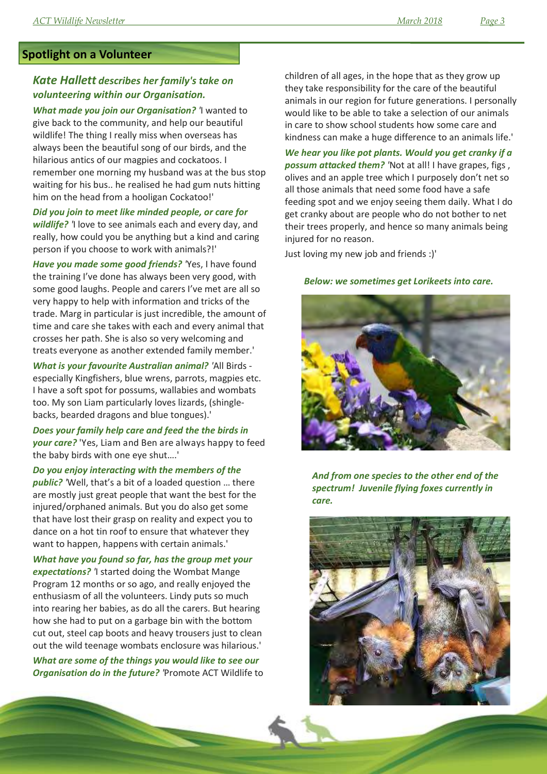### **Spotlight on a Volunteer**

### *Kate Hallett describes her family's take on volunteering within our Organisation.*

*What made you join our Organisation? '*I wanted to give back to the community, and help our beautiful wildlife! The thing I really miss when overseas has always been the beautiful song of our birds, and the hilarious antics of our magpies and cockatoos. I remember one morning my husband was at the bus stop waiting for his bus.. he realised he had gum nuts hitting him on the head from a hooligan Cockatoo!'

*Did you join to meet like minded people, or care for wildlife? '*I love to see animals each and every day, and really, how could you be anything but a kind and caring person if you choose to work with animals?!'

*Have you made some good friends? '*Yes, I have found the training I've done has always been very good, with some good laughs. People and carers I've met are all so very happy to help with information and tricks of the trade. Marg in particular is just incredible, the amount of time and care she takes with each and every animal that crosses her path. She is also so very welcoming and treats everyone as another extended family member.'

*What is your favourite Australian animal? '*All Birds especially Kingfishers, blue wrens, parrots, magpies etc. I have a soft spot for possums, wallabies and wombats too. My son Liam particularly loves lizards, (shinglebacks, bearded dragons and blue tongues).'

*Does your family help care and feed the the birds in your care?* 'Yes, Liam and Ben are always happy to feed the baby birds with one eye shut….'

*Do you enjoy interacting with the members of the public? '*Well, that's a bit of a loaded question … there are mostly just great people that want the best for the injured/orphaned animals. But you do also get some that have lost their grasp on reality and expect you to dance on a hot tin roof to ensure that whatever they want to happen, happens with certain animals.'

*What have you found so far, has the group met your expectations? '*I started doing the Wombat Mange Program 12 months or so ago, and really enjoyed the enthusiasm of all the volunteers. Lindy puts so much into rearing her babies, as do all the carers. But hearing how she had to put on a garbage bin with the bottom cut out, steel cap boots and heavy trousers just to clean out the wild teenage wombats enclosure was hilarious.'

*What are some of the things you would like to see our Organisation do in the future? '*Promote ACT Wildlife to children of all ages, in the hope that as they grow up they take responsibility for the care of the beautiful animals in our region for future generations. I personally would like to be able to take a selection of our animals in care to show school students how some care and kindness can make a huge difference to an animals life.'

*We hear you like pot plants. Would you get cranky if a possum attacked them? '*Not at all! I have grapes, figs , olives and an apple tree which I purposely don't net so all those animals that need some food have a safe feeding spot and we enjoy seeing them daily. What I do get cranky about are people who do not bother to net their trees properly, and hence so many animals being injured for no reason.

Just loving my new job and friends :)'

#### *Below: we sometimes get Lorikeets into care.*



*And from one species to the other end of the spectrum! Juvenile flying foxes currently in care.*

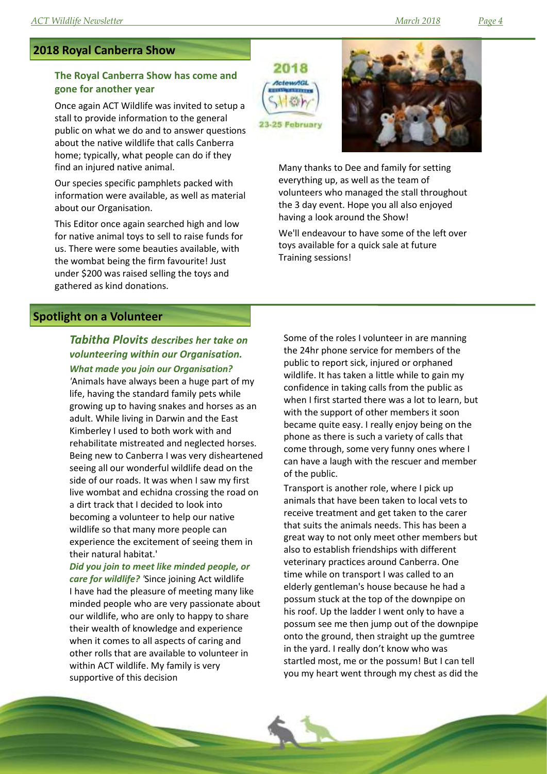#### **2018 Royal Canberra Show**

#### **The Royal Canberra Show has come and gone for another year**

Once again ACT Wildlife was invited to setup a stall to provide information to the general public on what we do and to answer questions about the native wildlife that calls Canberra home; typically, what people can do if they find an injured native animal.

Our species specific pamphlets packed with information were available, as well as material about our Organisation.

This Editor once again searched high and low for native animal toys to sell to raise funds for us. There were some beauties available, with the wombat being the firm favourite! Just under \$200 was raised selling the toys and gathered as kind donations.





Many thanks to Dee and family for setting everything up, as well as the team of volunteers who managed the stall throughout the 3 day event. Hope you all also enjoyed having a look around the Show!

We'll endeavour to have some of the left over toys available for a quick sale at future Training sessions!

#### **Spotlight on a Volunteer**

# *Tabitha Plovits describes her take on volunteering within our Organisation.*

*What made you join our Organisation? '*Animals have always been a huge part of my life, having the standard family pets while growing up to having snakes and horses as an adult. While living in Darwin and the East Kimberley I used to both work with and rehabilitate mistreated and neglected horses. Being new to Canberra I was very disheartened seeing all our wonderful wildlife dead on the side of our roads. It was when I saw my first live wombat and echidna crossing the road on a dirt track that I decided to look into becoming a volunteer to help our native wildlife so that many more people can experience the excitement of seeing them in their natural habitat.'

*Did you join to meet like minded people, or care for wildlife? '*Since joining Act wildlife I have had the pleasure of meeting many like minded people who are very passionate about our wildlife, who are only to happy to share their wealth of knowledge and experience when it comes to all aspects of caring and other rolls that are available to volunteer in within ACT wildlife. My family is very supportive of this decision

Some of the roles I volunteer in are manning the 24hr phone service for members of the public to report sick, injured or orphaned wildlife. It has taken a little while to gain my confidence in taking calls from the public as when I first started there was a lot to learn, but with the support of other members it soon became quite easy. I really enjoy being on the phone as there is such a variety of calls that come through, some very funny ones where I can have a laugh with the rescuer and member of the public.

Transport is another role, where I pick up animals that have been taken to local vets to receive treatment and get taken to the carer that suits the animals needs. This has been a great way to not only meet other members but also to establish friendships with different veterinary practices around Canberra. One time while on transport I was called to an elderly gentleman's house because he had a possum stuck at the top of the downpipe on his roof. Up the ladder I went only to have a possum see me then jump out of the downpipe onto the ground, then straight up the gumtree in the yard. I really don't know who was startled most, me or the possum! But I can tell you my heart went through my chest as did the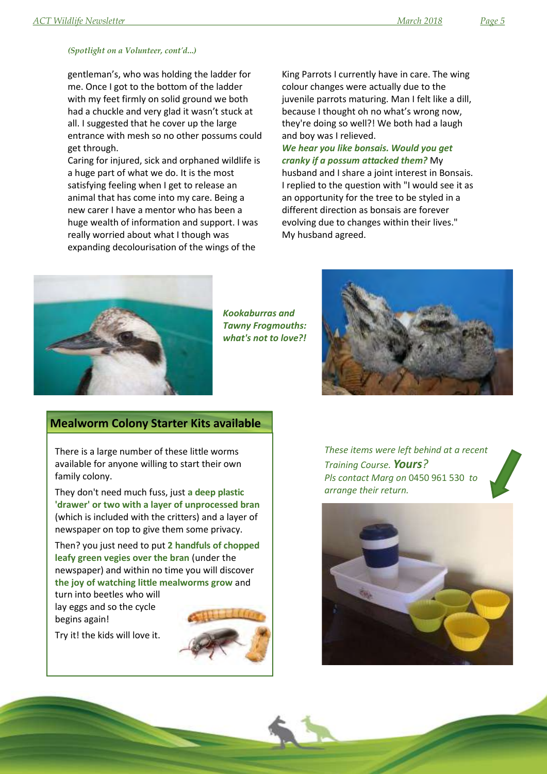#### *(Spotlight on a Volunteer, cont'd...)*

gentleman's, who was holding the ladder for me. Once I got to the bottom of the ladder with my feet firmly on solid ground we both had a chuckle and very glad it wasn't stuck at all. I suggested that he cover up the large entrance with mesh so no other possums could get through.

Caring for injured, sick and orphaned wildlife is a huge part of what we do. It is the most satisfying feeling when I get to release an animal that has come into my care. Being a new carer I have a mentor who has been a huge wealth of information and support. I was really worried about what I though was expanding decolourisation of the wings of the

King Parrots I currently have in care. The wing colour changes were actually due to the juvenile parrots maturing. Man I felt like a dill, because I thought oh no what's wrong now, they're doing so well?! We both had a laugh and boy was I relieved.

*We hear you like bonsais. Would you get cranky if a possum attacked them?* My husband and I share a joint interest in Bonsais. I replied to the question with "I would see it as an opportunity for the tree to be styled in a different direction as bonsais are forever evolving due to changes within their lives." My husband agreed.



*Kookaburras and Tawny Frogmouths: what's not to love?!*



#### **Mealworm Colony Starter Kits available**

There is a large number of these little worms available for anyone willing to start their own family colony.

They don't need much fuss, just **a deep plastic 'drawer' or two with a layer of unprocessed bran** (which is included with the critters) and a layer of newspaper on top to give them some privacy.

Then? you just need to put **2 handfuls of chopped leafy green vegies over the bran** (under the newspaper) and within no time you will discover **the joy of watching little mealworms grow** and

turn into beetles who will lay eggs and so the cycle begins again!





*These items were left behind at a recent Training Course. Yours? Pls contact Marg on* 0450 961 530 *to arrange their return.*